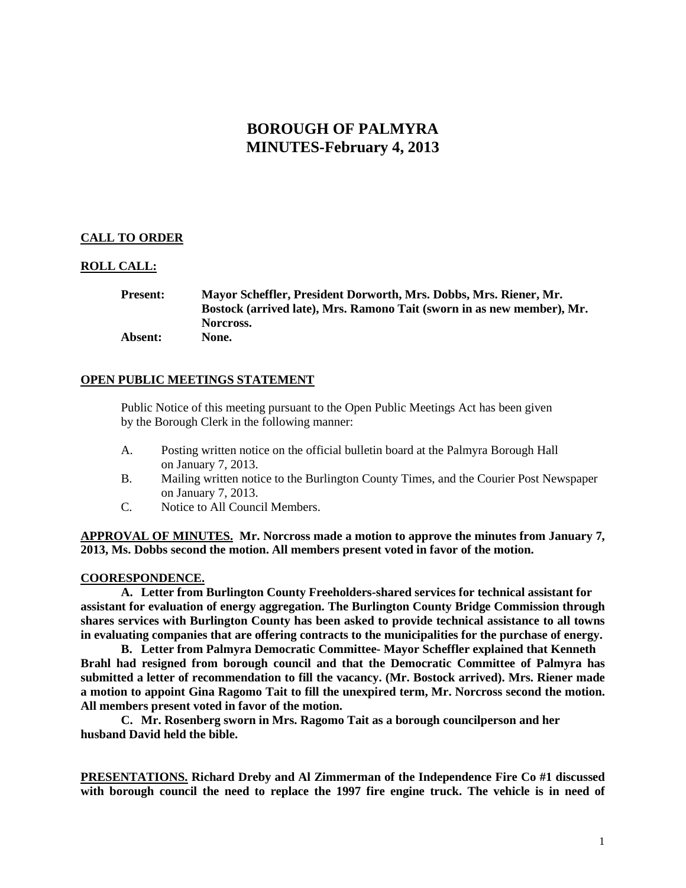# **BOROUGH OF PALMYRA MINUTES-February 4, 2013**

## **CALL TO ORDER**

## **ROLL CALL:**

### **Present: Mayor Scheffler, President Dorworth, Mrs. Dobbs, Mrs. Riener, Mr. Bostock (arrived late), Mrs. Ramono Tait (sworn in as new member), Mr. Norcross. Absent: None.**

## **OPEN PUBLIC MEETINGS STATEMENT**

Public Notice of this meeting pursuant to the Open Public Meetings Act has been given by the Borough Clerk in the following manner:

- A. Posting written notice on the official bulletin board at the Palmyra Borough Hall on January 7, 2013.
- B. Mailing written notice to the Burlington County Times, and the Courier Post Newspaper on January 7, 2013.
- C. Notice to All Council Members.

**APPROVAL OF MINUTES. Mr. Norcross made a motion to approve the minutes from January 7, 2013, Ms. Dobbs second the motion. All members present voted in favor of the motion.** 

#### **COORESPONDENCE.**

**A. Letter from Burlington County Freeholders-shared services for technical assistant for assistant for evaluation of energy aggregation. The Burlington County Bridge Commission through shares services with Burlington County has been asked to provide technical assistance to all towns in evaluating companies that are offering contracts to the municipalities for the purchase of energy.** 

**B. Letter from Palmyra Democratic Committee- Mayor Scheffler explained that Kenneth Brahl had resigned from borough council and that the Democratic Committee of Palmyra has submitted a letter of recommendation to fill the vacancy. (Mr. Bostock arrived). Mrs. Riener made a motion to appoint Gina Ragomo Tait to fill the unexpired term, Mr. Norcross second the motion. All members present voted in favor of the motion.**

**C. Mr. Rosenberg sworn in Mrs. Ragomo Tait as a borough councilperson and her husband David held the bible.**

**PRESENTATIONS. Richard Dreby and Al Zimmerman of the Independence Fire Co #1 discussed with borough council the need to replace the 1997 fire engine truck. The vehicle is in need of**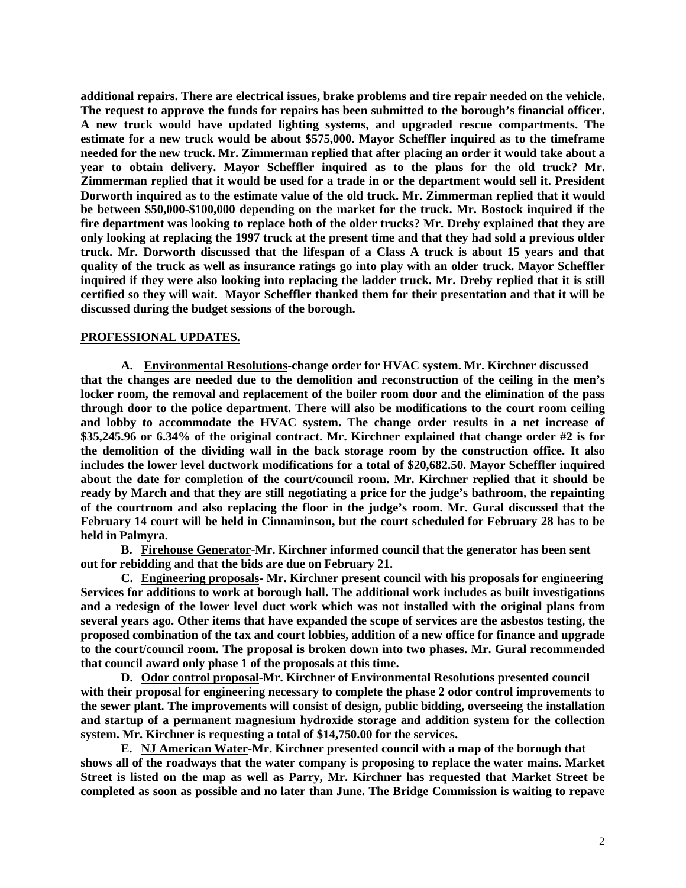**additional repairs. There are electrical issues, brake problems and tire repair needed on the vehicle. The request to approve the funds for repairs has been submitted to the borough's financial officer. A new truck would have updated lighting systems, and upgraded rescue compartments. The estimate for a new truck would be about \$575,000. Mayor Scheffler inquired as to the timeframe needed for the new truck. Mr. Zimmerman replied that after placing an order it would take about a year to obtain delivery. Mayor Scheffler inquired as to the plans for the old truck? Mr. Zimmerman replied that it would be used for a trade in or the department would sell it. President Dorworth inquired as to the estimate value of the old truck. Mr. Zimmerman replied that it would be between \$50,000-\$100,000 depending on the market for the truck. Mr. Bostock inquired if the fire department was looking to replace both of the older trucks? Mr. Dreby explained that they are only looking at replacing the 1997 truck at the present time and that they had sold a previous older truck. Mr. Dorworth discussed that the lifespan of a Class A truck is about 15 years and that quality of the truck as well as insurance ratings go into play with an older truck. Mayor Scheffler inquired if they were also looking into replacing the ladder truck. Mr. Dreby replied that it is still certified so they will wait. Mayor Scheffler thanked them for their presentation and that it will be discussed during the budget sessions of the borough.** 

#### **PROFESSIONAL UPDATES.**

**A. Environmental Resolutions-change order for HVAC system. Mr. Kirchner discussed that the changes are needed due to the demolition and reconstruction of the ceiling in the men's locker room, the removal and replacement of the boiler room door and the elimination of the pass through door to the police department. There will also be modifications to the court room ceiling and lobby to accommodate the HVAC system. The change order results in a net increase of \$35,245.96 or 6.34% of the original contract. Mr. Kirchner explained that change order #2 is for the demolition of the dividing wall in the back storage room by the construction office. It also includes the lower level ductwork modifications for a total of \$20,682.50. Mayor Scheffler inquired about the date for completion of the court/council room. Mr. Kirchner replied that it should be ready by March and that they are still negotiating a price for the judge's bathroom, the repainting of the courtroom and also replacing the floor in the judge's room. Mr. Gural discussed that the February 14 court will be held in Cinnaminson, but the court scheduled for February 28 has to be held in Palmyra.** 

**B. Firehouse Generator-Mr. Kirchner informed council that the generator has been sent out for rebidding and that the bids are due on February 21.**

**C. Engineering proposals- Mr. Kirchner present council with his proposals for engineering Services for additions to work at borough hall. The additional work includes as built investigations and a redesign of the lower level duct work which was not installed with the original plans from several years ago. Other items that have expanded the scope of services are the asbestos testing, the proposed combination of the tax and court lobbies, addition of a new office for finance and upgrade to the court/council room. The proposal is broken down into two phases. Mr. Gural recommended that council award only phase 1 of the proposals at this time.** 

**D. Odor control proposal-Mr. Kirchner of Environmental Resolutions presented council with their proposal for engineering necessary to complete the phase 2 odor control improvements to the sewer plant. The improvements will consist of design, public bidding, overseeing the installation and startup of a permanent magnesium hydroxide storage and addition system for the collection system. Mr. Kirchner is requesting a total of \$14,750.00 for the services.** 

**E. NJ American Water-Mr. Kirchner presented council with a map of the borough that shows all of the roadways that the water company is proposing to replace the water mains. Market Street is listed on the map as well as Parry, Mr. Kirchner has requested that Market Street be completed as soon as possible and no later than June. The Bridge Commission is waiting to repave**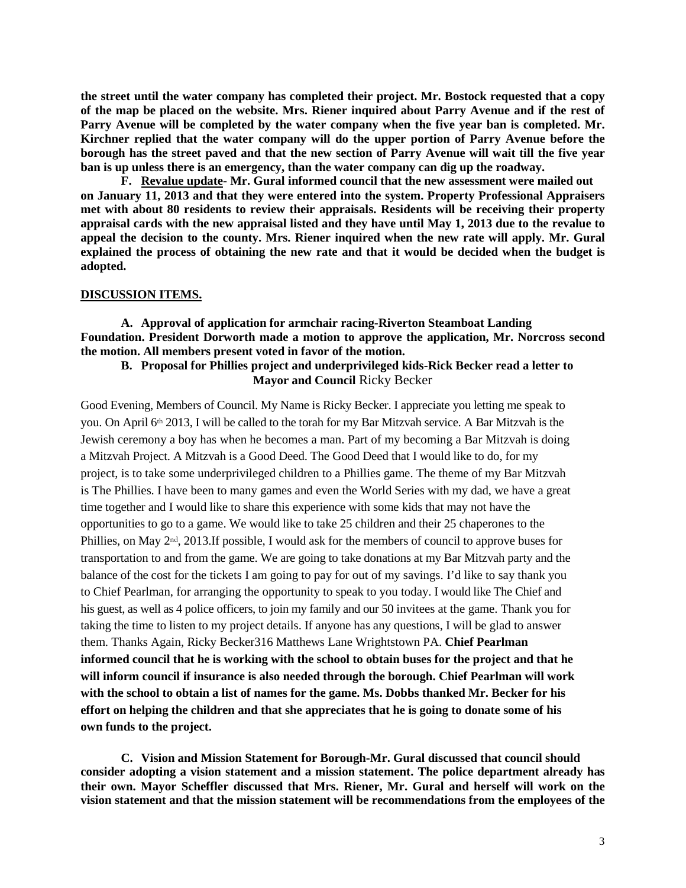**the street until the water company has completed their project. Mr. Bostock requested that a copy of the map be placed on the website. Mrs. Riener inquired about Parry Avenue and if the rest of Parry Avenue will be completed by the water company when the five year ban is completed. Mr. Kirchner replied that the water company will do the upper portion of Parry Avenue before the borough has the street paved and that the new section of Parry Avenue will wait till the five year ban is up unless there is an emergency, than the water company can dig up the roadway.** 

**F. Revalue update- Mr. Gural informed council that the new assessment were mailed out on January 11, 2013 and that they were entered into the system. Property Professional Appraisers met with about 80 residents to review their appraisals. Residents will be receiving their property appraisal cards with the new appraisal listed and they have until May 1, 2013 due to the revalue to appeal the decision to the county. Mrs. Riener inquired when the new rate will apply. Mr. Gural explained the process of obtaining the new rate and that it would be decided when the budget is adopted.** 

#### **DISCUSSION ITEMS.**

**A. Approval of application for armchair racing-Riverton Steamboat Landing Foundation. President Dorworth made a motion to approve the application, Mr. Norcross second the motion. All members present voted in favor of the motion.**

## **B. Proposal for Phillies project and underprivileged kids-Rick Becker read a letter to Mayor and Council** Ricky Becker

Good Evening, Members of Council. My Name is Ricky Becker. I appreciate you letting me speak to you. On April 6th 2013, I will be called to the torah for my Bar Mitzvah service. A Bar Mitzvah is the Jewish ceremony a boy has when he becomes a man. Part of my becoming a Bar Mitzvah is doing a Mitzvah Project. A Mitzvah is a Good Deed. The Good Deed that I would like to do, for my project, is to take some underprivileged children to a Phillies game. The theme of my Bar Mitzvah is The Phillies. I have been to many games and even the World Series with my dad, we have a great time together and I would like to share this experience with some kids that may not have the opportunities to go to a game. We would like to take 25 children and their 25 chaperones to the Phillies, on May 2nd, 2013.If possible, I would ask for the members of council to approve buses for transportation to and from the game. We are going to take donations at my Bar Mitzvah party and the balance of the cost for the tickets I am going to pay for out of my savings. I'd like to say thank you to Chief Pearlman, for arranging the opportunity to speak to you today. I would like The Chief and his guest, as well as 4 police officers, to join my family and our 50 invitees at the game. Thank you for taking the time to listen to my project details. If anyone has any questions, I will be glad to answer them. Thanks Again, Ricky Becker316 Matthews Lane Wrightstown PA. **Chief Pearlman informed council that he is working with the school to obtain buses for the project and that he will inform council if insurance is also needed through the borough. Chief Pearlman will work with the school to obtain a list of names for the game. Ms. Dobbs thanked Mr. Becker for his effort on helping the children and that she appreciates that he is going to donate some of his own funds to the project.** 

**C. Vision and Mission Statement for Borough-Mr. Gural discussed that council should consider adopting a vision statement and a mission statement. The police department already has their own. Mayor Scheffler discussed that Mrs. Riener, Mr. Gural and herself will work on the vision statement and that the mission statement will be recommendations from the employees of the**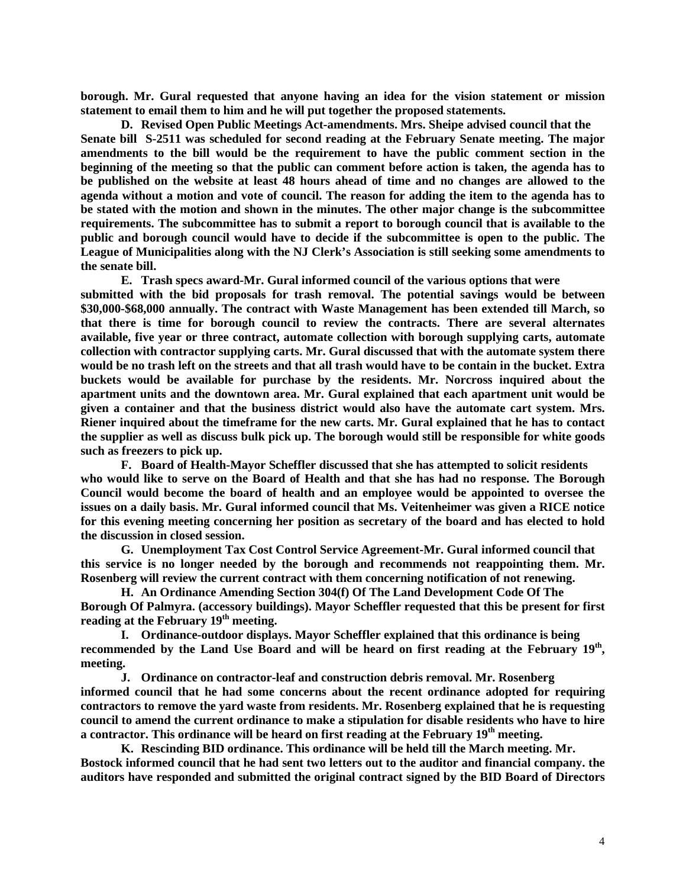**borough. Mr. Gural requested that anyone having an idea for the vision statement or mission statement to email them to him and he will put together the proposed statements.** 

**D. Revised Open Public Meetings Act-amendments. Mrs. Sheipe advised council that the Senate bill S-2511 was scheduled for second reading at the February Senate meeting. The major amendments to the bill would be the requirement to have the public comment section in the beginning of the meeting so that the public can comment before action is taken, the agenda has to be published on the website at least 48 hours ahead of time and no changes are allowed to the agenda without a motion and vote of council. The reason for adding the item to the agenda has to be stated with the motion and shown in the minutes. The other major change is the subcommittee requirements. The subcommittee has to submit a report to borough council that is available to the public and borough council would have to decide if the subcommittee is open to the public. The League of Municipalities along with the NJ Clerk's Association is still seeking some amendments to the senate bill.** 

**E. Trash specs award-Mr. Gural informed council of the various options that were submitted with the bid proposals for trash removal. The potential savings would be between \$30,000-\$68,000 annually. The contract with Waste Management has been extended till March, so that there is time for borough council to review the contracts. There are several alternates available, five year or three contract, automate collection with borough supplying carts, automate collection with contractor supplying carts. Mr. Gural discussed that with the automate system there would be no trash left on the streets and that all trash would have to be contain in the bucket. Extra buckets would be available for purchase by the residents. Mr. Norcross inquired about the apartment units and the downtown area. Mr. Gural explained that each apartment unit would be given a container and that the business district would also have the automate cart system. Mrs. Riener inquired about the timeframe for the new carts. Mr. Gural explained that he has to contact the supplier as well as discuss bulk pick up. The borough would still be responsible for white goods such as freezers to pick up.** 

**F. Board of Health-Mayor Scheffler discussed that she has attempted to solicit residents who would like to serve on the Board of Health and that she has had no response. The Borough Council would become the board of health and an employee would be appointed to oversee the issues on a daily basis. Mr. Gural informed council that Ms. Veitenheimer was given a RICE notice for this evening meeting concerning her position as secretary of the board and has elected to hold the discussion in closed session.**

**G. Unemployment Tax Cost Control Service Agreement-Mr. Gural informed council that this service is no longer needed by the borough and recommends not reappointing them. Mr. Rosenberg will review the current contract with them concerning notification of not renewing.** 

**H. An Ordinance Amending Section 304(f) Of The Land Development Code Of The Borough Of Palmyra. (accessory buildings). Mayor Scheffler requested that this be present for first reading at the February 19th meeting.**

**I. Ordinance-outdoor displays. Mayor Scheffler explained that this ordinance is being recommended by the Land Use Board and will be heard on first reading at the February 19th, meeting.**

**J. Ordinance on contractor-leaf and construction debris removal. Mr. Rosenberg informed council that he had some concerns about the recent ordinance adopted for requiring contractors to remove the yard waste from residents. Mr. Rosenberg explained that he is requesting council to amend the current ordinance to make a stipulation for disable residents who have to hire a contractor. This ordinance will be heard on first reading at the February 19th meeting.**

**K. Rescinding BID ordinance. This ordinance will be held till the March meeting. Mr. Bostock informed council that he had sent two letters out to the auditor and financial company. the auditors have responded and submitted the original contract signed by the BID Board of Directors**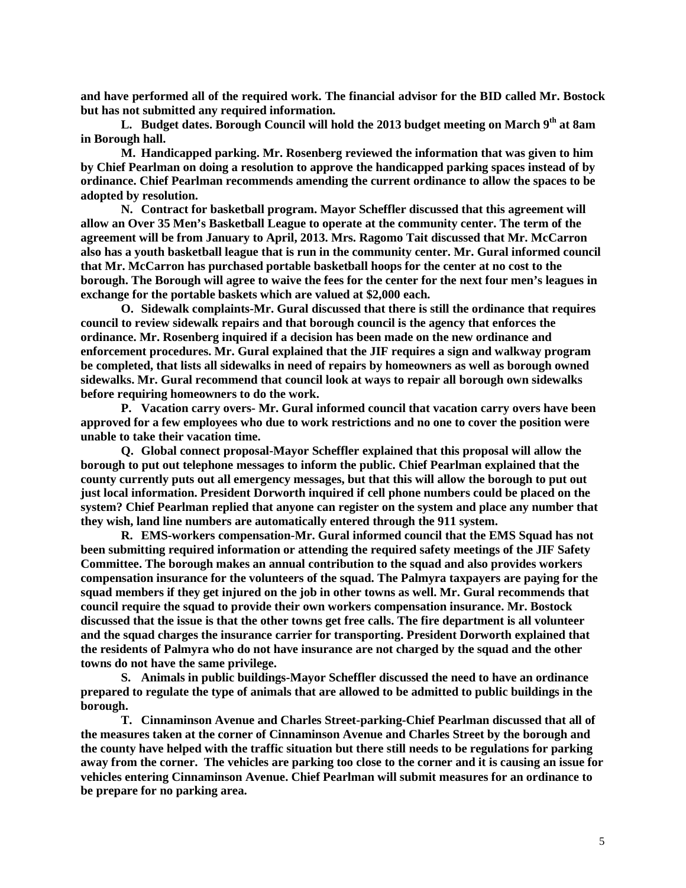**and have performed all of the required work. The financial advisor for the BID called Mr. Bostock but has not submitted any required information.**

**L. Budget dates. Borough Council will hold the 2013 budget meeting on March 9th at 8am in Borough hall.** 

**M. Handicapped parking. Mr. Rosenberg reviewed the information that was given to him by Chief Pearlman on doing a resolution to approve the handicapped parking spaces instead of by ordinance. Chief Pearlman recommends amending the current ordinance to allow the spaces to be adopted by resolution.** 

**N. Contract for basketball program. Mayor Scheffler discussed that this agreement will allow an Over 35 Men's Basketball League to operate at the community center. The term of the agreement will be from January to April, 2013. Mrs. Ragomo Tait discussed that Mr. McCarron also has a youth basketball league that is run in the community center. Mr. Gural informed council that Mr. McCarron has purchased portable basketball hoops for the center at no cost to the borough. The Borough will agree to waive the fees for the center for the next four men's leagues in exchange for the portable baskets which are valued at \$2,000 each.**

**O. Sidewalk complaints-Mr. Gural discussed that there is still the ordinance that requires council to review sidewalk repairs and that borough council is the agency that enforces the ordinance. Mr. Rosenberg inquired if a decision has been made on the new ordinance and enforcement procedures. Mr. Gural explained that the JIF requires a sign and walkway program be completed, that lists all sidewalks in need of repairs by homeowners as well as borough owned sidewalks. Mr. Gural recommend that council look at ways to repair all borough own sidewalks before requiring homeowners to do the work.** 

**P. Vacation carry overs- Mr. Gural informed council that vacation carry overs have been approved for a few employees who due to work restrictions and no one to cover the position were unable to take their vacation time.**

**Q. Global connect proposal-Mayor Scheffler explained that this proposal will allow the borough to put out telephone messages to inform the public. Chief Pearlman explained that the county currently puts out all emergency messages, but that this will allow the borough to put out just local information. President Dorworth inquired if cell phone numbers could be placed on the system? Chief Pearlman replied that anyone can register on the system and place any number that they wish, land line numbers are automatically entered through the 911 system.** 

**R. EMS-workers compensation-Mr. Gural informed council that the EMS Squad has not been submitting required information or attending the required safety meetings of the JIF Safety Committee. The borough makes an annual contribution to the squad and also provides workers compensation insurance for the volunteers of the squad. The Palmyra taxpayers are paying for the squad members if they get injured on the job in other towns as well. Mr. Gural recommends that council require the squad to provide their own workers compensation insurance. Mr. Bostock discussed that the issue is that the other towns get free calls. The fire department is all volunteer and the squad charges the insurance carrier for transporting. President Dorworth explained that the residents of Palmyra who do not have insurance are not charged by the squad and the other towns do not have the same privilege.** 

**S. Animals in public buildings-Mayor Scheffler discussed the need to have an ordinance prepared to regulate the type of animals that are allowed to be admitted to public buildings in the borough.** 

**T. Cinnaminson Avenue and Charles Street-parking-Chief Pearlman discussed that all of the measures taken at the corner of Cinnaminson Avenue and Charles Street by the borough and the county have helped with the traffic situation but there still needs to be regulations for parking away from the corner. The vehicles are parking too close to the corner and it is causing an issue for vehicles entering Cinnaminson Avenue. Chief Pearlman will submit measures for an ordinance to be prepare for no parking area.**